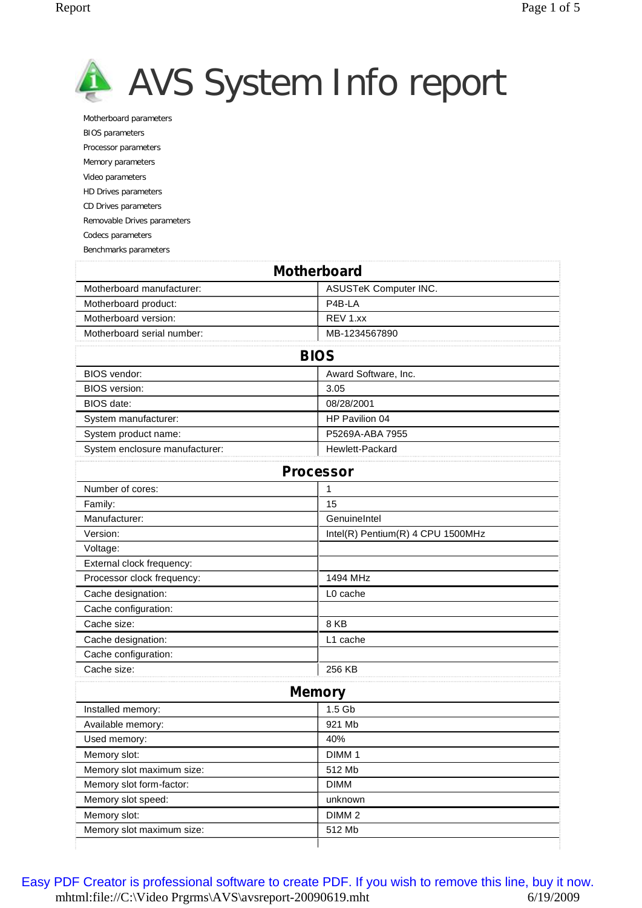

Motherboard parameters BIOS parameters Processor parameters Memory parameters Video parameters HD Drives parameters CD Drives parameters Removable Drives parameters Codecs parameters

Benchmarks parameters

|                                | <b>Motherboard</b>                |
|--------------------------------|-----------------------------------|
| Motherboard manufacturer:      | ASUSTeK Computer INC.             |
| Motherboard product:           | P4B-LA                            |
| Motherboard version:           | REV 1.xx                          |
| Motherboard serial number:     | MB-1234567890                     |
|                                | <b>BIOS</b>                       |
| BIOS vendor:                   | Award Software, Inc.              |
| <b>BIOS</b> version:           | 3.05                              |
| BIOS date:                     | 08/28/2001                        |
| System manufacturer:           | HP Pavilion 04                    |
| System product name:           | P5269A-ABA 7955                   |
| System enclosure manufacturer: | Hewlett-Packard                   |
|                                | <b>Processor</b>                  |
| Number of cores:               | 1                                 |
| Family:                        | 15                                |
| Manufacturer:                  | GenuineIntel                      |
| Version:                       | Intel(R) Pentium(R) 4 CPU 1500MHz |
| Voltage:                       |                                   |
| External clock frequency:      |                                   |
| Processor clock frequency:     | 1494 MHz                          |
| Cache designation:             | L0 cache                          |
| Cache configuration:           |                                   |
| Cache size:                    | 8KB                               |
| Cache designation:             | L1 cache                          |
| Cache configuration:           |                                   |
| Cache size:                    | 256 KB                            |
|                                | <b>Memory</b>                     |
| Installed memory:              | 1.5 Gb                            |
| Available memory:              | 921 Mb                            |
| Used memory:                   | 40%                               |
| Memory slot:                   | DIMM <sub>1</sub>                 |
| Memory slot maximum size:      | 512 Mb                            |
| Memory slot form-factor:       | <b>DIMM</b>                       |
| Memory slot speed:             | unknown                           |
| Memory slot:                   | DIMM <sub>2</sub>                 |
| Memory slot maximum size:      | 512 Mb                            |
|                                |                                   |

mhtml:file://C:\Video Prgrms\AVS\avsreport-20090619.mht 6/19/2009 [Easy PDF Creator is professional software to create PDF. If you wish to remove this line, buy it now.](http://www.pdfdesk.com)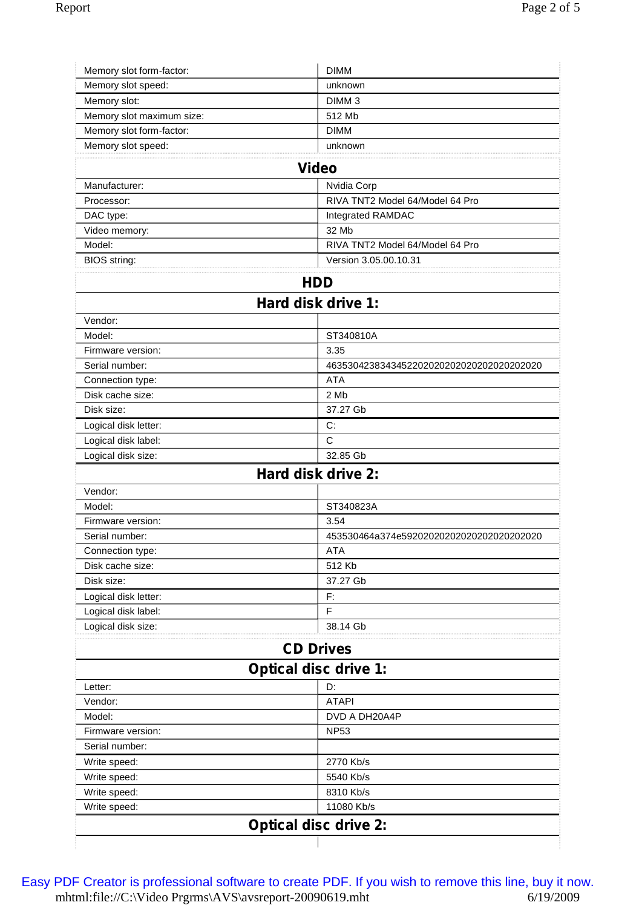| unknown                                    |
|--------------------------------------------|
| DIMM <sub>3</sub>                          |
| 512 Mb                                     |
| <b>DIMM</b>                                |
| unknown                                    |
| <b>Video</b>                               |
| Nvidia Corp                                |
| RIVA TNT2 Model 64/Model 64 Pro            |
| Integrated RAMDAC                          |
| 32 Mb                                      |
| RIVA TNT2 Model 64/Model 64 Pro            |
| Version 3.05.00.10.31                      |
|                                            |
| <b>HDD</b>                                 |
| Hard disk drive 1:                         |
|                                            |
| ST340810A                                  |
| 3.35                                       |
| 463530423834345220202020202020202020202020 |
| <b>ATA</b>                                 |
| 2 Mb                                       |
| 37.27 Gb                                   |
| C:                                         |
| C                                          |
| 32.85 Gb                                   |
| Hard disk drive 2:                         |
|                                            |
| ST340823A                                  |
| 3.54                                       |
| 453530464a374e5920202020202020202020202020 |
| ATA                                        |
| 512 Kb                                     |
| 37.27 Gb                                   |
| F:                                         |
| F                                          |
| 38.14 Gb                                   |
| <b>CD Drives</b>                           |
| <b>Optical disc drive 1:</b>               |
| D:                                         |
| <b>ATAPI</b>                               |
| DVD A DH20A4P                              |
| <b>NP53</b>                                |
|                                            |
| 2770 Kb/s                                  |
| 5540 Kb/s                                  |
|                                            |
| 8310 Kb/s                                  |
| 11080 Kb/s                                 |
|                                            |

mhtml:file://C:\Video Prgrms\AVS\avsreport-20090619.mht 6/19/2009 [Easy PDF Creator is professional software to create PDF. If you wish to remove this line, buy it now.](http://www.pdfdesk.com)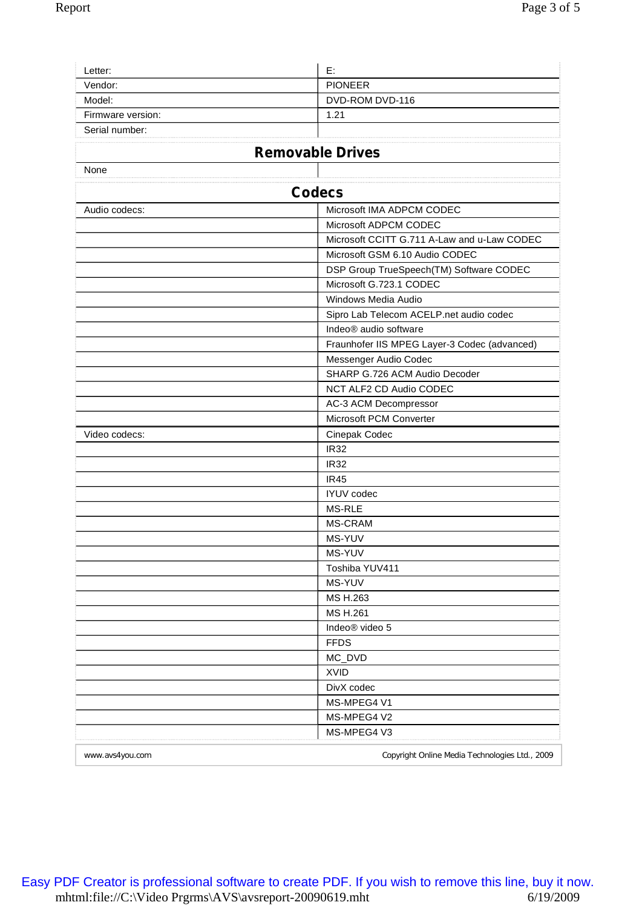| Е.                                           |
|----------------------------------------------|
| <b>PIONEER</b>                               |
| DVD-ROM DVD-116                              |
| 1.21                                         |
|                                              |
|                                              |
| <b>Removable Drives</b>                      |
|                                              |
| <b>Codecs</b>                                |
| Microsoft IMA ADPCM CODEC                    |
| Microsoft ADPCM CODEC                        |
| Microsoft CCITT G.711 A-Law and u-Law CODEC  |
| Microsoft GSM 6.10 Audio CODEC               |
| DSP Group TrueSpeech(TM) Software CODEC      |
| Microsoft G.723.1 CODEC                      |
| Windows Media Audio                          |
| Sipro Lab Telecom ACELP.net audio codec      |
| Indeo <sup>®</sup> audio software            |
| Fraunhofer IIS MPEG Layer-3 Codec (advanced) |
| Messenger Audio Codec                        |
| SHARP G.726 ACM Audio Decoder                |
| NCT ALF2 CD Audio CODEC                      |
| AC-3 ACM Decompressor                        |
| Microsoft PCM Converter                      |
| Cinepak Codec                                |
| <b>IR32</b>                                  |
| <b>IR32</b>                                  |
| <b>IR45</b>                                  |
| <b>IYUV</b> codec                            |
| <b>MS-RLE</b>                                |
| <b>MS-CRAM</b>                               |
| MS-YUV                                       |
| MS-YUV                                       |
| Toshiba YUV411                               |
| MS-YUV                                       |
| MS H.263                                     |
| MS H.261                                     |
| Indeo <sup>®</sup> video 5                   |
| <b>FFDS</b>                                  |
| MC_DVD                                       |
| <b>XVID</b>                                  |
| DivX codec                                   |
| MS-MPEG4 V1                                  |
| MS-MPEG4 V2<br>MS-MPEG4 V3                   |
|                                              |
|                                              |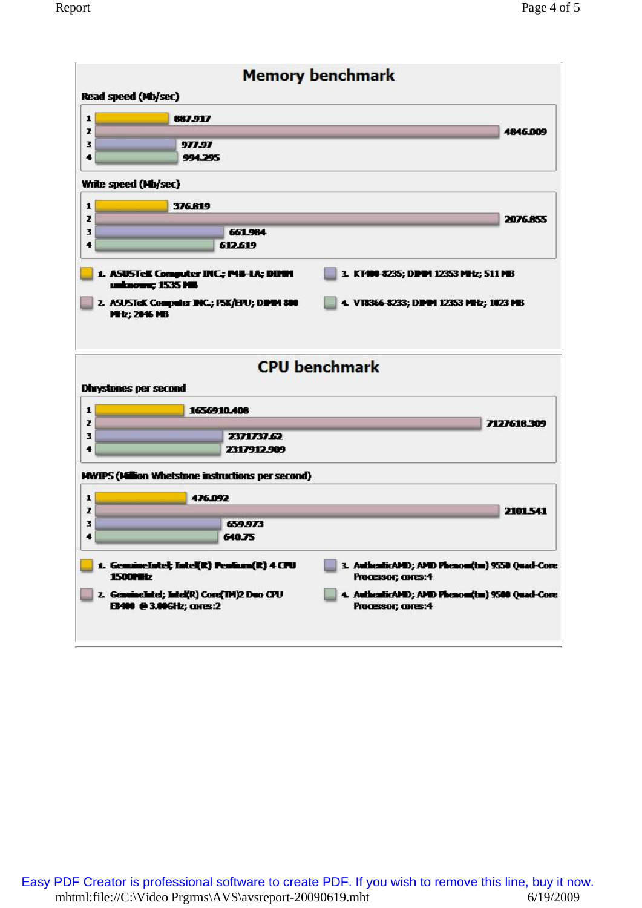| Read speed (Mb/sec)                                         | <b>Memory benchmark</b>                                              |
|-------------------------------------------------------------|----------------------------------------------------------------------|
| $\mathbf{1}$<br>887.917                                     |                                                                      |
| z<br>з<br>977.97                                            | 4846.009                                                             |
| 4<br>994.295                                                |                                                                      |
| Write speed (Mb/sec)                                        |                                                                      |
| 1<br>376819                                                 |                                                                      |
| z                                                           | 2076.855                                                             |
| з<br>661.984<br>612.619<br>٠                                |                                                                      |
| 1. ASUSTell Computer INC.; P48-1A; DINN<br>unknown; 1535 MB | 3. KT400-8235; DDAM 12353 MHz; 511 MB                                |
| 2. ASUSTeK Computer INC.; PSK/EPU; DIMM 800<br>MHz; 2046 MB | 4. V18366-8233; DDDM 12353 MHz; 1023 MB                              |
| <b>Dhrystones per second</b>                                | <b>CPU benchmark</b>                                                 |
| 1<br>1656910.408                                            |                                                                      |
| z                                                           | 7127618.309                                                          |
| з<br>2371737.62<br>2317912.909<br>4                         |                                                                      |
| MWIPS (Million Whetstone instructions per second)           |                                                                      |
| 1<br>476.092                                                |                                                                      |
| z                                                           | 2101.541                                                             |
|                                                             |                                                                      |
| з<br>659.973                                                |                                                                      |
| 640.75<br>4                                                 |                                                                      |
| 1. GemmeIntel; Intel(R) Pentam(R) 4 CPU<br><b>1500MHz</b>   | 3. AuthenticAMD; AMD Phenom(tm) 9550 Quad-Core<br>Processor; cores:4 |